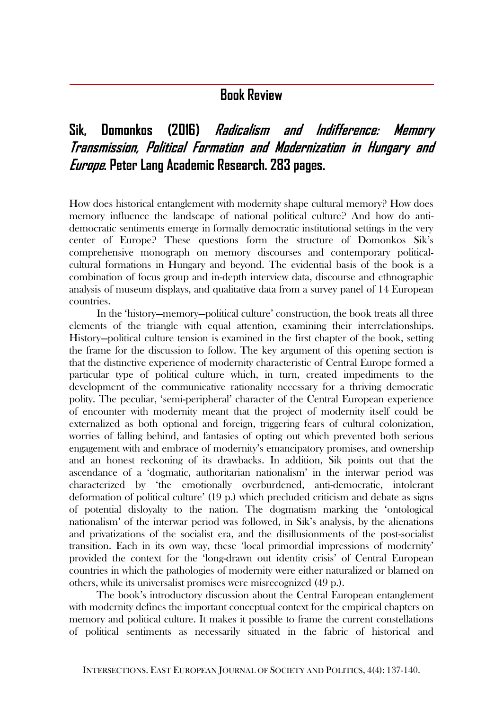## **Book Review**

## **Sik, Domonkos (2016) Radicalism and Indifference: Memory Transmission, Political Formation and Modernization in Hungary and Europe. Peter Lang Academic Research. 283 pages.**

How does historical entanglement with modernity shape cultural memory? How does memory influence the landscape of national political culture? And how do antidemocratic sentiments emerge in formally democratic institutional settings in the very center of Europe? These questions form the structure of Domonkos Sik's comprehensive monograph on memory discourses and contemporary politicalcultural formations in Hungary and beyond. The evidential basis of the book is a combination of focus group and in-depth interview data, discourse and ethnographic analysis of museum displays, and qualitative data from a survey panel of 14 European countries.

In the 'history—memory—political culture' construction, the book treats all three elements of the triangle with equal attention, examining their interrelationships. History—political culture tension is examined in the first chapter of the book, setting the frame for the discussion to follow. The key argument of this opening section is that the distinctive experience of modernity characteristic of Central Europe formed a particular type of political culture which, in turn, created impediments to the development of the communicative rationality necessary for a thriving democratic polity. The peculiar, 'semi-peripheral' character of the Central European experience of encounter with modernity meant that the project of modernity itself could be externalized as both optional and foreign, triggering fears of cultural colonization, worries of falling behind, and fantasies of opting out which prevented both serious engagement with and embrace of modernity's emancipatory promises, and ownership and an honest reckoning of its drawbacks. In addition, Sik points out that the ascendance of a 'dogmatic, authoritarian nationalism' in the interwar period was characterized by 'the emotionally overburdened, anti-democratic, intolerant deformation of political culture' (19 p.) which precluded criticism and debate as signs of potential disloyalty to the nation. The dogmatism marking the 'ontological nationalism' of the interwar period was followed, in Sik's analysis, by the alienations and privatizations of the socialist era, and the disillusionments of the post-socialist transition. Each in its own way, these 'local primordial impressions of modernity' provided the context for the 'long-drawn out identity crisis' of Central European countries in which the pathologies of modernity were either naturalized or blamed on others, while its universalist promises were misrecognized (49 p.).

The book's introductory discussion about the Central European entanglement with modernity defines the important conceptual context for the empirical chapters on memory and political culture. It makes it possible to frame the current constellations of political sentiments as necessarily situated in the fabric of historical and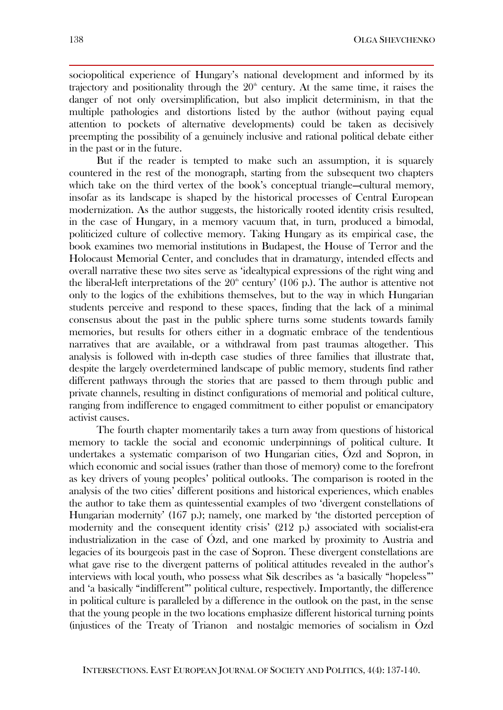sociopolitical experience of Hungary's national development and informed by its trajectory and positionality through the  $20<sup>th</sup>$  century. At the same time, it raises the danger of not only oversimplification, but also implicit determinism, in that the multiple pathologies and distortions listed by the author (without paying equal attention to pockets of alternative developments) could be taken as decisively preempting the possibility of a genuinely inclusive and rational political debate either in the past or in the future.

But if the reader is tempted to make such an assumption, it is squarely countered in the rest of the monograph, starting from the subsequent two chapters which take on the third vertex of the book's conceptual triangle—cultural memory, insofar as its landscape is shaped by the historical processes of Central European modernization. As the author suggests, the historically rooted identity crisis resulted, in the case of Hungary, in a memory vacuum that, in turn, produced a bimodal, politicized culture of collective memory. Taking Hungary as its empirical case, the book examines two memorial institutions in Budapest, the House of Terror and the Holocaust Memorial Center, and concludes that in dramaturgy, intended effects and overall narrative these two sites serve as 'idealtypical expressions of the right wing and the liberal-left interpretations of the  $20<sup>th</sup>$  century' (106 p.). The author is attentive not only to the logics of the exhibitions themselves, but to the way in which Hungarian students perceive and respond to these spaces, finding that the lack of a minimal consensus about the past in the public sphere turns some students towards family memories, but results for others either in a dogmatic embrace of the tendentious narratives that are available, or a withdrawal from past traumas altogether. This analysis is followed with in-depth case studies of three families that illustrate that, despite the largely overdetermined landscape of public memory, students find rather different pathways through the stories that are passed to them through public and private channels, resulting in distinct configurations of memorial and political culture, ranging from indifference to engaged commitment to either populist or emancipatory activist causes.

The fourth chapter momentarily takes a turn away from questions of historical memory to tackle the social and economic underpinnings of political culture. It undertakes a systematic comparison of two Hungarian cities, Ózd and Sopron, in which economic and social issues (rather than those of memory) come to the forefront as key drivers of young peoples' political outlooks. The comparison is rooted in the analysis of the two cities' different positions and historical experiences, which enables the author to take them as quintessential examples of two 'divergent constellations of Hungarian modernity' (167 p.); namely, one marked by 'the distorted perception of modernity and the consequent identity crisis' (212 p.) associated with socialist-era industrialization in the case of Ózd, and one marked by proximity to Austria and legacies of its bourgeois past in the case of Sopron. These divergent constellations are what gave rise to the divergent patterns of political attitudes revealed in the author's interviews with local youth, who possess what Sik describes as 'a basically "hopeless"' and 'a basically "indifferent"' political culture, respectively. Importantly, the difference in political culture is paralleled by a difference in the outlook on the past, in the sense that the young people in the two locations emphasize different historical turning points (injustices of the Treaty of Trianon and nostalgic memories of socialism in Ózd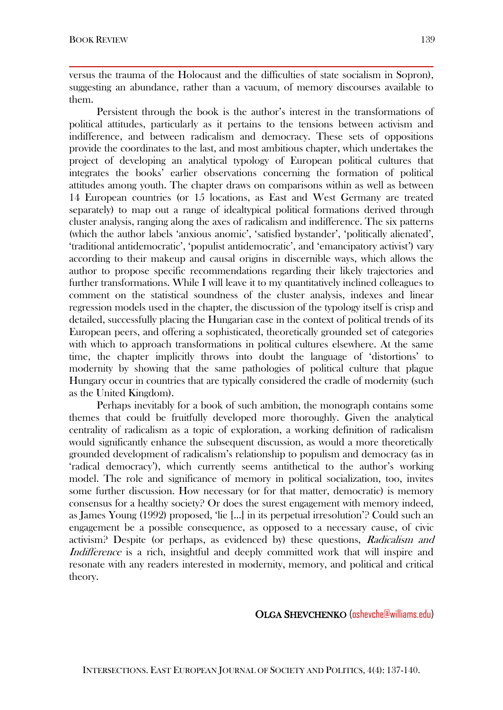versus the trauma of the Holocaust and the difficulties of state socialism in Sopron), suggesting an abundance, rather than a vacuum, of memory discourses available to them.

Persistent through the book is the author's interest in the transformations of political attitudes, particularly as it pertains to the tensions between activism and indifference, and between radicalism and democracy. These sets of oppositions provide the coordinates to the last, and most ambitious chapter, which undertakes the project of developing an analytical typology of European political cultures that integrates the books' earlier observations concerning the formation of political attitudes among youth. The chapter draws on comparisons within as well as between 14 European countries (or 15 locations, as East and West Germany are treated separately) to map out a range of idealtypical political formations derived through cluster analysis, ranging along the axes of radicalism and indifference. The six patterns (which the author labels 'anxious anomic', 'satisfied bystander', 'politically alienated', 'traditional antidemocratic', 'populist antidemocratic', and 'emancipatory activist') vary according to their makeup and causal origins in discernible ways, which allows the author to propose specific recommendations regarding their likely trajectories and further transformations. While I will leave it to my quantitatively inclined colleagues to comment on the statistical soundness of the cluster analysis, indexes and linear regression models used in the chapter, the discussion of the typology itself is crisp and detailed, successfully placing the Hungarian case in the context of political trends of its European peers, and offering a sophisticated, theoretically grounded set of categories with which to approach transformations in political cultures elsewhere. At the same time, the chapter implicitly throws into doubt the language of 'distortions' to modernity by showing that the same pathologies of political culture that plague Hungary occur in countries that are typically considered the cradle of modernity (such as the United Kingdom).

Perhaps inevitably for a book of such ambition, the monograph contains some themes that could be fruitfully developed more thoroughly. Given the analytical centrality of radicalism as a topic of exploration, a working definition of radicalism would significantly enhance the subsequent discussion, as would a more theoretically grounded development of radicalism's relationship to populism and democracy (as in 'radical democracy'), which currently seems antithetical to the author's working model. The role and significance of memory in political socialization, too, invites some further discussion. How necessary (or for that matter, democratic) is memory consensus for a healthy society? Or does the surest engagement with memory indeed, as James Young (1992) proposed, 'lie [...] in its perpetual irresolution'? Could such an engagement be a possible consequence, as opposed to a necessary cause, of civic activism? Despite (or perhaps, as evidenced by) these questions, Radicalism and Indifference is a rich, insightful and deeply committed work that will inspire and resonate with any readers interested in modernity, memory, and political and critical theory.

## OLGA SHEVCHENKO (oshevche@williams.edu)